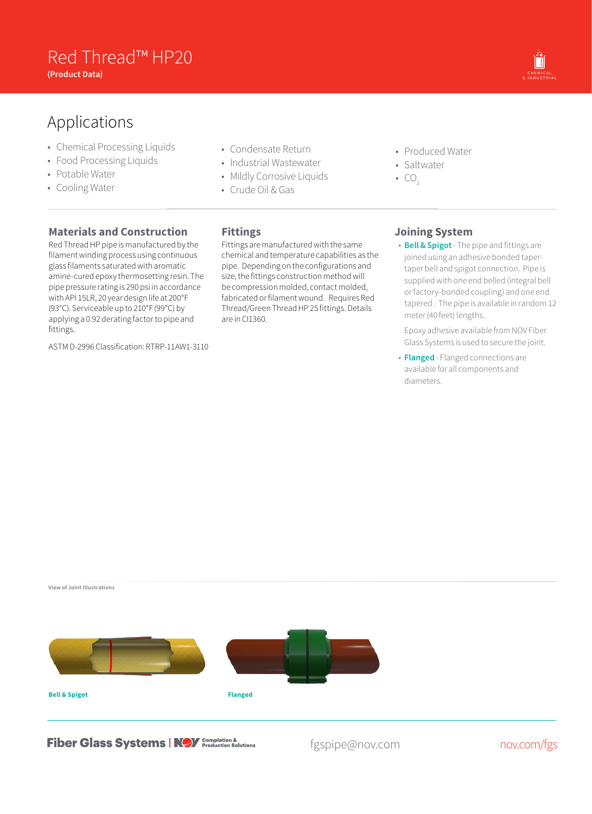## **Red Thread™ HP20**<br>Product Pata) **(Product Data)** OIL & GAS CHEMICAL

# Applications

- Chemical Processing Liquids
- Food Processing Liquids
- Potable Water
- Cooling Water
- Condensate Return
- Industrial Wastewater
- Mildly Corrosive Liquids
- Crude Oil & Gas
- Produced Water
- Saltwater
- $CO<sub>2</sub>$

## **Materials and Construction**

Red Thread HP pipe is manufactured by the filament winding process using continuous glass filaments saturated with aromatic amine-cured epoxy thermosetting resin. The pipe pressure rating is 290 psi in accordance with API 15LR, 20 year design life at 200°F (93°C). Serviceable up to 210°F (99°C) by applying a 0.92 derating factor to pipe and fittings.

ASTM D-2996 Classification: RTRP-11AW1-3110

## **Fittings**

Fittings are manufactured with the same chemical and temperature capabilities as the pipe. Depending on the configurations and size, the fittings construction method will be compression molded, contact molded, fabricated or filament wound. Requires Red Thread/Green Thread HP 25 fittings. Details are in CI1360.

### **Joining System**

• **Bell & Spigot**- The pipe and fittings are joined using an adhesive bonded tapertaper bell and spigot connection. Pipe is supplied with one end belled (integral bell or factory-bonded coupling) and one end tapered . The pipe is available in random 12 meter (40 feet) lengths.

& INDUSTRIAL MARINE OFFSHORE MINING FUEL<br>& INDUSTRIAL

Epoxy adhesive available from NOV Fiber Glass Systems is used to secure the joint.

• **Flanged** - Flanged connections are available for all components and diameters.

**View of Joint Illustrations**



**Fiber Glass Systems | NOY** Completion &

fgspipe@nov.com nov.com/fgs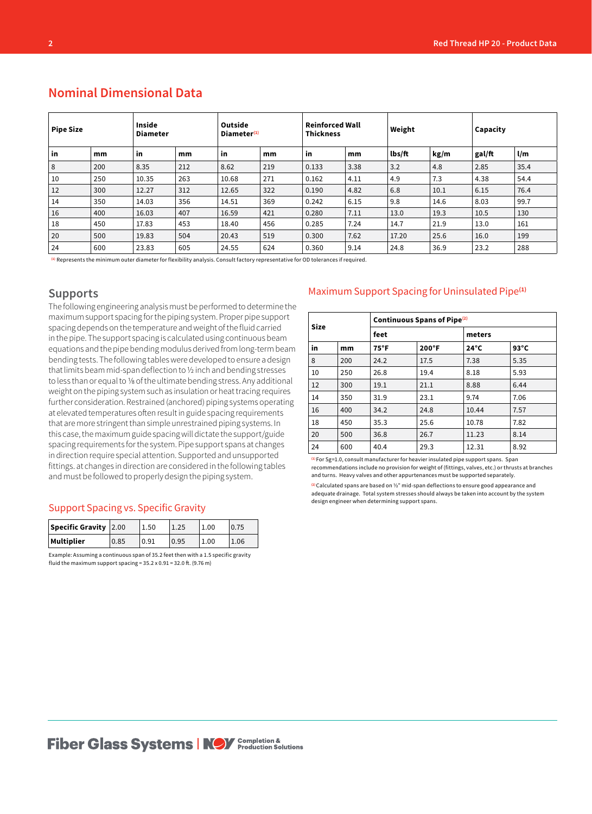| <b>Pipe Size</b> |     | <b>Inside</b><br><b>Diameter</b> |     | Outside<br>Diameter <sup>(1)</sup> |     | <b>Reinforced Wall</b><br><b>Thickness</b> |      | Weight |      | Capacity |                         |
|------------------|-----|----------------------------------|-----|------------------------------------|-----|--------------------------------------------|------|--------|------|----------|-------------------------|
| in               | mm  | in                               | mm  | in                                 | mm  | in                                         | mm   | lbs/ft | kg/m | gal/ft   | $\mathsf{l}/\mathsf{m}$ |
| 8                | 200 | 8.35                             | 212 | 8.62                               | 219 | 0.133                                      | 3.38 | 3.2    | 4.8  | 2.85     | 35.4                    |
| 10               | 250 | 10.35                            | 263 | 10.68                              | 271 | 0.162                                      | 4.11 | 4.9    | 7.3  | 4.38     | 54.4                    |
| 12               | 300 | 12.27                            | 312 | 12.65                              | 322 | 0.190                                      | 4.82 | 6.8    | 10.1 | 6.15     | 76.4                    |
| 14               | 350 | 14.03                            | 356 | 14.51                              | 369 | 0.242                                      | 6.15 | 9.8    | 14.6 | 8.03     | 99.7                    |
| 16               | 400 | 16.03                            | 407 | 16.59                              | 421 | 0.280                                      | 7.11 | 13.0   | 19.3 | 10.5     | 130                     |
| 18               | 450 | 17.83                            | 453 | 18.40                              | 456 | 0.285                                      | 7.24 | 14.7   | 21.9 | 13.0     | 161                     |
| 20               | 500 | 19.83                            | 504 | 20.43                              | 519 | 0.300                                      | 7.62 | 17.20  | 25.6 | 16.0     | 199                     |
| 24               | 600 | 23.83                            | 605 | 24.55                              | 624 | 0.360                                      | 9.14 | 24.8   | 36.9 | 23.2     | 288                     |

## **Nominal Dimensional Data**

**(1)** Represents the minimum outer diameter for flexibility analysis. Consult factory representative for OD tolerances if required.

#### **Supports**

The following engineering analysis must be performed to determine the maximum support spacing for the piping system. Proper pipe support spacing depends on the temperature and weight of the fluid carried in the pipe. The support spacing is calculated using continuous beam equations and the pipe bending modulus derived from long-term beam bending tests. The following tables were developed to ensure a design that limits beam mid-span deflection to ½ inch and bending stresses to less than or equal to 1/8 of the ultimate bending stress. Any additional weight on the piping system such as insulation or heat tracing requires further consideration. Restrained (anchored) piping systems operating at elevated temperatures often result in guide spacing requirements that are more stringent than simple unrestrained piping systems. In this case, the maximum guide spacing will dictate the support/guide spacing requirements for the system. Pipe support spans at changes in direction require special attention. Supported and unsupported fittings. at changes in direction are considered in the following tables and must be followed to properly design the piping system.

#### Support Spacing vs. Specific Gravity

| Specific Gravity 2.00 |      | 1.50 | 1.25 | 1.00 |      |
|-----------------------|------|------|------|------|------|
| Multiplier            | 0.85 | 0.91 | 0.95 | 1.00 | 1.06 |

Example: Assuming a continuous span of 35.2 feet then with a 1.5 specific gravity fluid the maximum support spacing =  $35.2 \times 0.91 = 32.0$  ft. (9.76 m)

#### Maximum Support Spacing for Uninsulated Pipe**(1)**

| <b>Size</b> |     | Continuous Spans of Pipe <sup>(2)</sup> |                 |                |                |  |  |  |
|-------------|-----|-----------------------------------------|-----------------|----------------|----------------|--|--|--|
|             |     | feet                                    |                 | meters         |                |  |  |  |
| in          | mm  | $75^{\circ}$ F                          | $200^{\circ}$ F | $24^{\circ}$ C | $93^{\circ}$ C |  |  |  |
| 8           | 200 | 24.2                                    | 17.5            | 7.38           | 5.35           |  |  |  |
| 10          | 250 | 26.8                                    | 19.4            | 8.18           | 5.93           |  |  |  |
| 12          | 300 | 19.1                                    | 21.1            | 8.88           | 6.44           |  |  |  |
| 14          | 350 | 31.9                                    | 23.1            | 9.74           | 7.06           |  |  |  |
| 16          | 400 | 34.2                                    | 24.8            | 10.44          | 7.57           |  |  |  |
| 18          | 450 | 35.3                                    | 25.6            | 10.78          | 7.82           |  |  |  |
| 20          | 500 | 36.8                                    | 26.7            | 11.23          | 8.14           |  |  |  |
| 24          | 600 | 40.4                                    | 29.3            | 12.31          | 8.92           |  |  |  |

**(1)**For Sg=1.0, consult manufacturer for heavier insulated pipe support spans. Span recommendations include no provision for weight of (fittings, valves, etc.) or thrusts at branches and turns. Heavy valves and other appurtenances must be supported separately.

**(2)**Calculated spans are based on ½" mid-span deflections to ensure good appearance and adequate drainage. Total system stresses should always be taken into account by the system design engineer when determining support spans.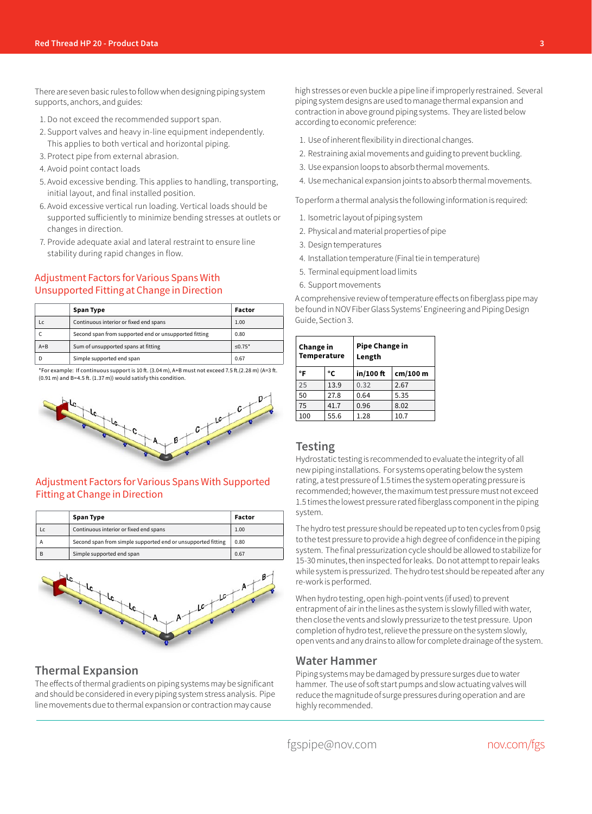There are seven basic rules to follow when designing piping system supports, anchors, and guides:

- 1. Do not exceed the recommended support span.
- 2. Support valves and heavy in-line equipment independently. This applies to both vertical and horizontal piping.
- 3. Protect pipe from external abrasion.
- 4. Avoid point contact loads
- 5. Avoid excessive bending. This applies to handling, transporting, initial layout, and final installed position.
- 6. Avoid excessive vertical run loading. Vertical loads should be supported sufficiently to minimize bending stresses at outlets or changes in direction.
- 7. Provide adequate axial and lateral restraint to ensure line stability during rapid changes in flow.

#### Adjustment Factors for Various Spans With Unsupported Fitting at Change in Direction

|       | Span Type                                             | Factor    |
|-------|-------------------------------------------------------|-----------|
| LC    | Continuous interior or fixed end spans                | 1.00      |
|       | Second span from supported end or unsupported fitting | 0.80      |
| $A+B$ | Sum of unsupported spans at fitting                   | $< 0.75*$ |
|       | Simple supported end span                             | 0.67      |

\*For example: If continuous support is 10 ft. (3.04 m),  $A+B$  must not exceed 7.5 ft. (2.28 m) ( $A=3$  ft. (0.91 m) and B=4.5 ft. (1.37 m)) would satisfy this condition.



#### Adjustment Factors for Various Spans With Supported Fitting at Change in Direction

|   | Span Type                                                    | Factor |
|---|--------------------------------------------------------------|--------|
|   | Continuous interior or fixed end spans                       | 1.00   |
|   | Second span from simple supported end or unsupported fitting | 0.80   |
| в | Simple supported end span                                    | 0.67   |



#### **Thermal Expansion**

The effects of thermal gradients on piping systems may be significant and should be considered in every piping system stress analysis. Pipe line movements due to thermal expansion or contraction may cause

high stresses or even buckle a pipe line if improperly restrained. Several piping system designs are used to manage thermal expansion and contraction in above ground piping systems. They are listed below according to economic preference:

- 1. Use of inherent flexibility in directional changes.
- 2. Restraining axial movements and guiding to prevent buckling.
- 3. Use expansion loops to absorb thermal movements.
- 4. Use mechanical expansion joints to absorb thermal movements.

To perform a thermal analysis the following information is required:

- 1. Isometric layout of piping system
- 2. Physical and material properties of pipe
- 3. Design temperatures
- 4. Installation temperature (Final tie in temperature)
- 5. Terminal equipment load limits
- 6. Support movements

A comprehensive review of temperature effects on fiberglass pipe may be found in NOV Fiber Glass Systems' Engineering and Piping Design Guide, Section 3.

| Change in<br><b>Temperature</b> |      | <b>Pipe Change in</b><br>Length |          |  |  |
|---------------------------------|------|---------------------------------|----------|--|--|
| °F<br>°C                        |      | in/100 ft                       | cm/100 m |  |  |
| 25                              | 13.9 | 0.32                            | 2.67     |  |  |
| 50                              | 27.8 | 0.64                            | 5.35     |  |  |
| 75                              | 41.7 | 0.96                            | 8.02     |  |  |
| 100                             | 55.6 | 1.28                            | 10.7     |  |  |

#### **Testing**

Hydrostatic testing is recommended to evaluate the integrity of all new piping installations. For systems operating below the system rating, a test pressure of 1.5 times the system operating pressure is recommended; however, the maximum test pressure must not exceed 1.5 times the lowest pressure rated fiberglass component in the piping system.

The hydro test pressure should be repeated up to ten cycles from 0 psig to the test pressure to provide a high degree of confidence in the piping system. The final pressurization cycle should be allowed to stabilize for 15-30 minutes, then inspected for leaks. Do not attempt to repair leaks while system is pressurized. The hydro test should be repeated after any re-work is performed.

When hydro testing, open high-point vents (if used) to prevent entrapment of air in the lines as the system is slowly filled with water, then close the vents and slowly pressurize to the test pressure. Upon completion of hydro test, relieve the pressure on the system slowly, open vents and any drains to allow for complete drainage of the system.

#### **Water Hammer**

Piping systems may be damaged by pressure surges due to water hammer. The use of soft start pumps and slow actuating valves will reduce the magnitude of surge pressures during operation and are highly recommended.